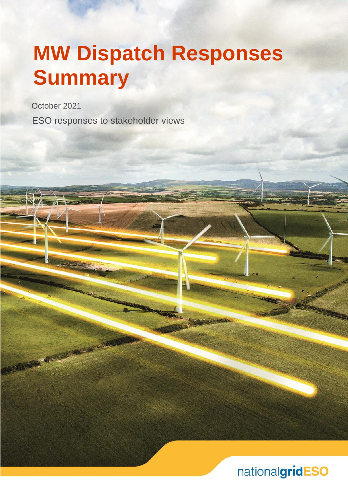# **MW Dispatch Responses Summary**

October 2021

**NEWS REAL PROPERTY** 

ESO responses to stakeholder views

nationalgridESO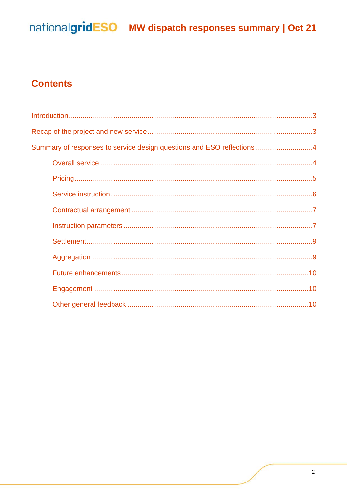## nationalgridESO MW dispatch responses summary | Oct 21

#### **Contents**

| Summary of responses to service design questions and ESO reflections4 |  |
|-----------------------------------------------------------------------|--|
|                                                                       |  |
|                                                                       |  |
|                                                                       |  |
|                                                                       |  |
|                                                                       |  |
|                                                                       |  |
|                                                                       |  |
|                                                                       |  |
|                                                                       |  |
|                                                                       |  |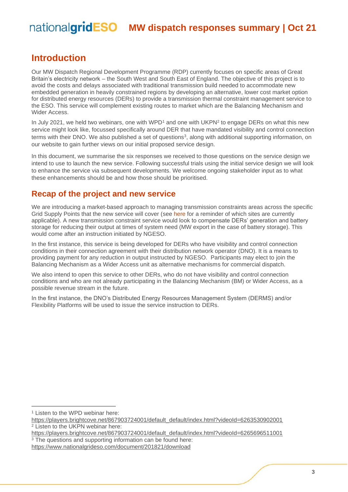#### <span id="page-2-0"></span>**Introduction**

Our MW Dispatch Regional Development Programme (RDP) currently focuses on specific areas of Great Britain's electricity network – the South West and South East of England. The objective of this project is to avoid the costs and delays associated with traditional transmission build needed to accommodate new embedded generation in heavily constrained regions by developing an alternative, lower cost market option for distributed energy resources (DERs) to provide a transmission thermal constraint management service to the ESO. This service will complement existing routes to market which are the Balancing Mechanism and Wider Access.

In July 2021, we held two webinars, one with WPD<sup>1</sup> and one with UKPN<sup>2</sup> to engage DERs on what this new service might look like, focussed specifically around DER that have mandated visibility and control connection terms with their DNO. We also published a set of questions<sup>3</sup>, along with additional supporting information, on our website to gain further views on our initial proposed service design.

In this document, we summarise the six responses we received to those questions on the service design we intend to use to launch the new service. Following successful trials using the initial service design we will look to enhance the service via subsequent developments. We welcome ongoing stakeholder input as to what these enhancements should be and how those should be prioritised.

#### <span id="page-2-1"></span>**Recap of the project and new service**

We are introducing a market-based approach to managing transmission constraints areas across the specific Grid Supply Points that the new service will cover (see [here](https://www.nationalgrideso.com/document/201821/download) for a reminder of which sites are currently applicable). A new transmission constraint service would look to compensate DERs' generation and battery storage for reducing their output at times of system need (MW export in the case of battery storage). This would come after an instruction initiated by NGESO.

In the first instance, this service is being developed for DERs who have visibility and control connection conditions in their connection agreement with their distribution network operator (DNO). It is a means to providing payment for any reduction in output instructed by NGESO. Participants may elect to join the Balancing Mechanism as a Wider Access unit as alternative mechanisms for commercial dispatch.

We also intend to open this service to other DERs, who do not have visibility and control connection conditions and who are not already participating in the Balancing Mechanism (BM) or Wider Access, as a possible revenue stream in the future.

In the first instance, the DNO's Distributed Energy Resources Management System (DERMS) and/or Flexibility Platforms will be used to issue the service instruction to DERs.

<sup>1</sup> Listen to the WPD webinar here:

[https://players.brightcove.net/867903724001/default\\_default/index.html?videoId=6263530902001](https://players.brightcove.net/867903724001/default_default/index.html?videoId=6263530902001) <sup>2</sup> Listen to the UKPN webinar here:

[https://players.brightcove.net/867903724001/default\\_default/index.html?videoId=6265696511001](https://players.brightcove.net/867903724001/default_default/index.html?videoId=6265696511001) <sup>3</sup> The questions and supporting information can be found here:

<https://www.nationalgrideso.com/document/201821/download>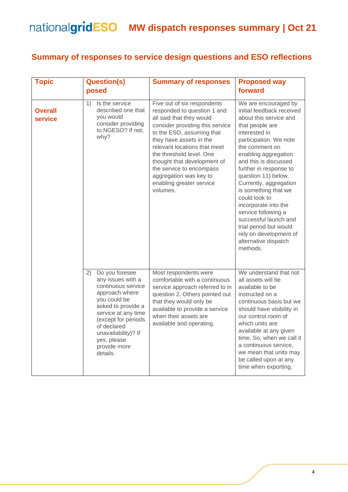#### <span id="page-3-0"></span>**Summary of responses to service design questions and ESO reflections**

<span id="page-3-1"></span>

| <b>Topic</b>              | <b>Question(s)</b><br>posed                                                                                                                                                                                                                            | <b>Summary of responses</b>                                                                                                                                                                                                                                                                                                                                                | <b>Proposed way</b><br>forward                                                                                                                                                                                                                                                                                                                                                                                                                                                                   |
|---------------------------|--------------------------------------------------------------------------------------------------------------------------------------------------------------------------------------------------------------------------------------------------------|----------------------------------------------------------------------------------------------------------------------------------------------------------------------------------------------------------------------------------------------------------------------------------------------------------------------------------------------------------------------------|--------------------------------------------------------------------------------------------------------------------------------------------------------------------------------------------------------------------------------------------------------------------------------------------------------------------------------------------------------------------------------------------------------------------------------------------------------------------------------------------------|
| <b>Overall</b><br>service | Is the service<br>1)<br>described one that<br>you would<br>consider providing<br>to NGESO? If not,<br>why?                                                                                                                                             | Five out of six respondents<br>responded to question 1 and<br>all said that they would<br>consider providing this service<br>to the ESO, assuming that<br>they have assets in the<br>relevant locations that meet<br>the threshold level. One<br>thought that development of<br>the service to encompass<br>aggregation was key to<br>enabling greater service<br>volumes. | We are encouraged by<br>initial feedback received<br>about this service and<br>that people are<br>interested in<br>participation. We note<br>the comment on<br>enabling aggregation<br>and this is discussed<br>further in response to<br>question 11) below.<br>Currently, aggregation<br>is something that we<br>could look to<br>incorporate into the<br>service following a<br>successful launch and<br>trial period but would<br>rely on development of<br>alternative dispatch<br>methods. |
|                           | Do you foresee<br>2)<br>any issues with a<br>continuous service<br>approach where<br>you could be<br>asked to provide a<br>service at any time<br>(except for periods<br>of declared<br>unavailability)? If<br>yes, please<br>provide more<br>details. | Most respondents were<br>comfortable with a continuous<br>service approach referred to in<br>question 2. Others pointed out<br>that they would only be<br>available to provide a service<br>when their assets are<br>available and operating.                                                                                                                              | We understand that not<br>all assets will be<br>available to be<br>instructed on a<br>continuous basis but we<br>should have visibility in<br>our control room of<br>which units are<br>available at any given<br>time. So, when we call it<br>a continuous service,<br>we mean that units may<br>be called upon at any<br>time when exporting.                                                                                                                                                  |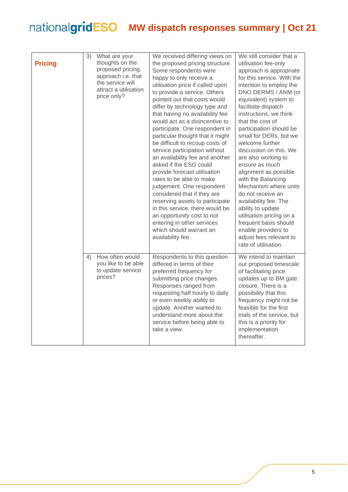<span id="page-4-0"></span>

|                | 3) | What are your                                                                                                         | We received differing views on                                                                                                                                                                                                                                                                                                                                                                                                                                                                                                                                                                                                                                                                                                                                                                                 | We still consider that a                                                                                                                                                                                                                                                                                                                                                                                                                                                                                                                                                                                                                           |
|----------------|----|-----------------------------------------------------------------------------------------------------------------------|----------------------------------------------------------------------------------------------------------------------------------------------------------------------------------------------------------------------------------------------------------------------------------------------------------------------------------------------------------------------------------------------------------------------------------------------------------------------------------------------------------------------------------------------------------------------------------------------------------------------------------------------------------------------------------------------------------------------------------------------------------------------------------------------------------------|----------------------------------------------------------------------------------------------------------------------------------------------------------------------------------------------------------------------------------------------------------------------------------------------------------------------------------------------------------------------------------------------------------------------------------------------------------------------------------------------------------------------------------------------------------------------------------------------------------------------------------------------------|
| <b>Pricing</b> |    | thoughts on the<br>proposed pricing<br>approach i.e. that<br>the service will<br>attract a utilisation<br>price only? | the proposed pricing structure.<br>Some respondents were<br>happy to only receive a<br>utilisation price if called upon<br>to provide a service. Others<br>pointed out that costs would<br>differ by technology type and<br>that having no availability fee<br>would act as a disincentive to<br>participate. One respondent in<br>particular thought that it might<br>be difficult to recoup costs of<br>service participation without<br>an availability fee and another<br>asked if the ESO could<br>provide forecast utilisation<br>rates to be able to make<br>judgement. One respondent<br>considered that if they are<br>reserving assets to participate<br>in this service, there would be<br>an opportunity cost to not<br>entering in other services<br>which should warrant an<br>availability fee. | utilisation fee-only<br>approach is appropriate<br>for this service. With the<br>intention to employ the<br>DNO DERMS / ANM (or<br>equivalent) system to<br>facilitate dispatch<br>instructions, we think<br>that the cost of<br>participation should be<br>small for DERs, but we<br>welcome further<br>discussion on this. We<br>are also working to<br>ensure as much<br>alignment as possible<br>with the Balancing<br>Mechanism where units<br>do not receive an<br>availability fee. The<br>ability to update<br>utilisation pricing on a<br>frequent basis should<br>enable providers to<br>adjust fees relevant to<br>rate of utilisation. |
|                | 4) | How often would<br>you like to be able<br>to update service<br>prices?                                                | Respondents to this question<br>differed in terms of their<br>preferred frequency for<br>submitting price changes.<br>Responses ranged from<br>requesting half hourly to daily<br>or even weekly ability to<br>update. Another wanted to<br>understand more about the<br>service before being able to<br>take a view.                                                                                                                                                                                                                                                                                                                                                                                                                                                                                          | We intend to maintain<br>our proposed timescale<br>of facilitating price<br>updates up to BM gate<br>closure. There is a<br>possibility that this<br>frequency might not be<br>feasible for the first<br>trials of the service, but<br>this is a priority for<br>implementation<br>thereafter.                                                                                                                                                                                                                                                                                                                                                     |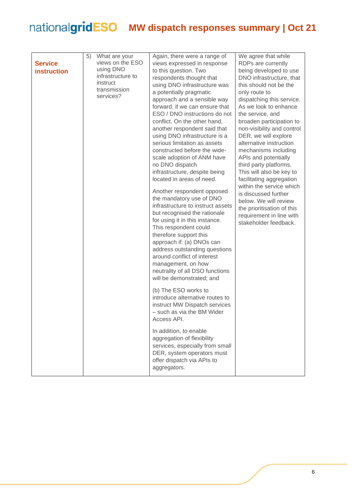<span id="page-5-0"></span>

|                    | 5) | What are your     | Again, there were a range of                                   | We agree that while                          |
|--------------------|----|-------------------|----------------------------------------------------------------|----------------------------------------------|
| <b>Service</b>     |    | views on the ESO  | views expressed in response                                    | RDPs are currently                           |
| <b>instruction</b> |    | using DNO         | to this question. Two                                          | being developed to use                       |
|                    |    | infrastructure to | respondents thought that                                       | DNO infrastructure, that                     |
|                    |    | instruct          | using DNO infrastructure was                                   | this should not be the                       |
|                    |    | transmission      | a potentially pragmatic                                        | only route to                                |
|                    |    | services?         | approach and a sensible way                                    | dispatching this service.                    |
|                    |    |                   | forward, if we can ensure that                                 | As we look to enhance                        |
|                    |    |                   | ESO / DNO instructions do not                                  | the service, and                             |
|                    |    |                   | conflict. On the other hand,                                   | broaden participation to                     |
|                    |    |                   | another respondent said that                                   | non-visibility and control                   |
|                    |    |                   | using DNO infrastructure is a                                  | DER, we will explore                         |
|                    |    |                   | serious limitation as assets                                   | alternative instruction                      |
|                    |    |                   | constructed before the wide-<br>scale adoption of ANM have     | mechanisms including<br>APIs and potentially |
|                    |    |                   | no DNO dispatch                                                | third party platforms.                       |
|                    |    |                   | infrastructure, despite being                                  | This will also be key to                     |
|                    |    |                   | located in areas of need.                                      | facilitating aggregation                     |
|                    |    |                   |                                                                | within the service which                     |
|                    |    |                   | Another respondent opposed                                     | is discussed further                         |
|                    |    |                   | the mandatory use of DNO                                       | below. We will review                        |
|                    |    |                   | infrastructure to instruct assets                              | the prioritisation of this                   |
|                    |    |                   | but recognised the rationale<br>for using it in this instance. | requirement in line with                     |
|                    |    |                   | This respondent could                                          | stakeholder feedback.                        |
|                    |    |                   | therefore support this                                         |                                              |
|                    |    |                   | approach if: (a) DNOs can                                      |                                              |
|                    |    |                   | address outstanding questions                                  |                                              |
|                    |    |                   | around conflict of interest                                    |                                              |
|                    |    |                   | management, on how                                             |                                              |
|                    |    |                   | neutrality of all DSO functions                                |                                              |
|                    |    |                   | will be demonstrated; and                                      |                                              |
|                    |    |                   | (b) The ESO works to                                           |                                              |
|                    |    |                   | introduce alternative routes to                                |                                              |
|                    |    |                   | instruct MW Dispatch services                                  |                                              |
|                    |    |                   | - such as via the BM Wider                                     |                                              |
|                    |    |                   | Access API.                                                    |                                              |
|                    |    |                   | In addition, to enable                                         |                                              |
|                    |    |                   | aggregation of flexibility                                     |                                              |
|                    |    |                   | services, especially from small                                |                                              |
|                    |    |                   | DER, system operators must                                     |                                              |
|                    |    |                   | offer dispatch via APIs to                                     |                                              |
|                    |    |                   | aggregators.                                                   |                                              |
|                    |    |                   |                                                                |                                              |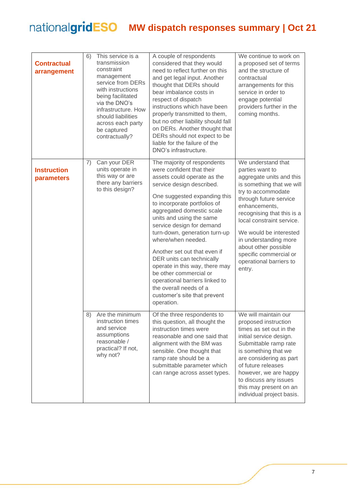<span id="page-6-1"></span><span id="page-6-0"></span>

| <b>Contractual</b><br>arrangement | 6) | This service is a<br>transmission<br>constraint<br>management<br>service from DERs<br>with instructions<br>being facilitated<br>via the DNO's<br>infrastructure. How<br>should liabilities<br>across each party<br>be captured<br>contractually? | A couple of respondents<br>considered that they would<br>need to reflect further on this<br>and get legal input. Another<br>thought that DERs should<br>bear imbalance costs in<br>respect of dispatch<br>instructions which have been<br>properly transmitted to them,<br>but no other liability should fall<br>on DERs. Another thought that<br>DERs should not expect to be<br>liable for the failure of the<br>DNO's infrastructure.                                                                                                                             | We continue to work on<br>a proposed set of terms<br>and the structure of<br>contractual<br>arrangements for this<br>service in order to<br>engage potential<br>providers further in the<br>coming months.                                                                                                                                                           |
|-----------------------------------|----|--------------------------------------------------------------------------------------------------------------------------------------------------------------------------------------------------------------------------------------------------|----------------------------------------------------------------------------------------------------------------------------------------------------------------------------------------------------------------------------------------------------------------------------------------------------------------------------------------------------------------------------------------------------------------------------------------------------------------------------------------------------------------------------------------------------------------------|----------------------------------------------------------------------------------------------------------------------------------------------------------------------------------------------------------------------------------------------------------------------------------------------------------------------------------------------------------------------|
| <b>Instruction</b><br>parameters  | 7) | Can your DER<br>units operate in<br>this way or are<br>there any barriers<br>to this design?                                                                                                                                                     | The majority of respondents<br>were confident that their<br>assets could operate as the<br>service design described.<br>One suggested expanding this<br>to incorporate portfolios of<br>aggregated domestic scale<br>units and using the same<br>service design for demand<br>turn-down, generation turn-up<br>where/when needed.<br>Another set out that even if<br>DER units can technically<br>operate in this way, there may<br>be other commercial or<br>operational barriers linked to<br>the overall needs of a<br>customer's site that prevent<br>operation. | We understand that<br>parties want to<br>aggregate units and this<br>is something that we will<br>try to accommodate<br>through future service<br>enhancements,<br>recognising that this is a<br>local constraint service.<br>We would be interested<br>in understanding more<br>about other possible<br>specific commercial or<br>operational barriers to<br>entry. |
|                                   | 8) | Are the minimum<br>instruction times<br>and service<br>assumptions<br>reasonable /<br>practical? If not,<br>why not?                                                                                                                             | Of the three respondents to<br>this question, all thought the<br>instruction times were<br>reasonable and one said that<br>alignment with the BM was<br>sensible. One thought that<br>ramp rate should be a<br>submittable parameter which<br>can range across asset types.                                                                                                                                                                                                                                                                                          | We will maintain our<br>proposed instruction<br>times as set out in the<br>initial service design.<br>Submittable ramp rate<br>is something that we<br>are considering as part<br>of future releases<br>however, we are happy<br>to discuss any issues<br>this may present on an<br>individual project basis.                                                        |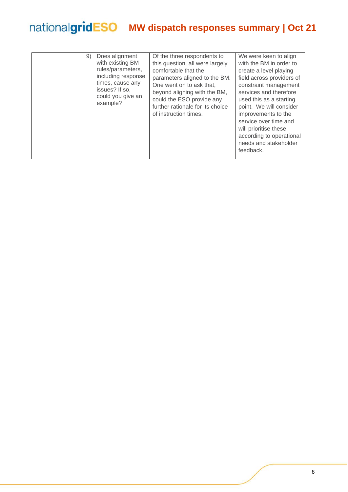| Does alignment<br>9)<br>with existing BM<br>rules/parameters,<br>including response<br>times, cause any<br>issues? If so,<br>could you give an<br>example? | Of the three respondents to<br>this question, all were largely<br>comfortable that the<br>parameters aligned to the BM.<br>One went on to ask that,<br>beyond aligning with the BM,<br>could the ESO provide any<br>further rationale for its choice<br>of instruction times. | We were keen to align<br>with the BM in order to<br>create a level playing<br>field across providers of<br>constraint management<br>services and therefore<br>used this as a starting<br>point. We will consider<br>improvements to the<br>service over time and<br>will prioritise these<br>according to operational<br>needs and stakeholder<br>feedback. |
|------------------------------------------------------------------------------------------------------------------------------------------------------------|-------------------------------------------------------------------------------------------------------------------------------------------------------------------------------------------------------------------------------------------------------------------------------|-------------------------------------------------------------------------------------------------------------------------------------------------------------------------------------------------------------------------------------------------------------------------------------------------------------------------------------------------------------|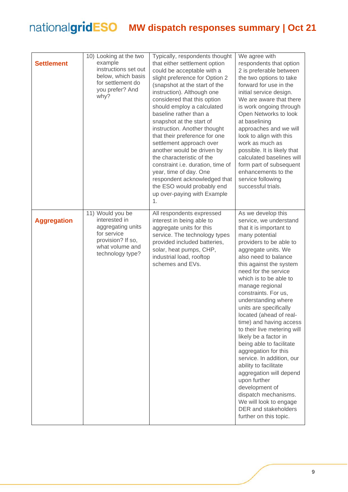<span id="page-8-1"></span><span id="page-8-0"></span>

| <b>Settlement</b>  | 10) Looking at the two<br>example<br>instructions set out<br>below, which basis<br>for settlement do<br>you prefer? And<br>why?   | Typically, respondents thought<br>that either settlement option<br>could be acceptable with a<br>slight preference for Option 2<br>(snapshot at the start of the<br>instruction). Although one<br>considered that this option<br>should employ a calculated<br>baseline rather than a<br>snapshot at the start of<br>instruction. Another thought<br>that their preference for one<br>settlement approach over<br>another would be driven by<br>the characteristic of the<br>constraint i.e. duration, time of<br>year, time of day. One<br>respondent acknowledged that<br>the ESO would probably end<br>up over-paying with Example<br>1. | We agree with<br>respondents that option<br>2 is preferable between<br>the two options to take<br>forward for use in the<br>initial service design.<br>We are aware that there<br>is work ongoing through<br>Open Networks to look<br>at baselining<br>approaches and we will<br>look to align with this<br>work as much as<br>possible. It is likely that<br>calculated baselines will<br>form part of subsequent<br>enhancements to the<br>service following<br>successful trials.                                                                                                                                                                                                                                                  |
|--------------------|-----------------------------------------------------------------------------------------------------------------------------------|---------------------------------------------------------------------------------------------------------------------------------------------------------------------------------------------------------------------------------------------------------------------------------------------------------------------------------------------------------------------------------------------------------------------------------------------------------------------------------------------------------------------------------------------------------------------------------------------------------------------------------------------|---------------------------------------------------------------------------------------------------------------------------------------------------------------------------------------------------------------------------------------------------------------------------------------------------------------------------------------------------------------------------------------------------------------------------------------------------------------------------------------------------------------------------------------------------------------------------------------------------------------------------------------------------------------------------------------------------------------------------------------|
| <b>Aggregation</b> | 11) Would you be<br>interested in<br>aggregating units<br>for service<br>provision? If so,<br>what volume and<br>technology type? | All respondents expressed<br>interest in being able to<br>aggregate units for this<br>service. The technology types<br>provided included batteries,<br>solar, heat pumps, CHP,<br>industrial load, rooftop<br>schemes and EVs.                                                                                                                                                                                                                                                                                                                                                                                                              | As we develop this<br>service, we understand<br>that it is important to<br>many potential<br>providers to be able to<br>aggregate units. We<br>also need to balance<br>this against the system<br>need for the service<br>which is to be able to<br>manage regional<br>constraints. For us,<br>understanding where<br>units are specifically<br>located (ahead of real-<br>time) and having access<br>to their live metering will<br>likely be a factor in<br>being able to facilitate<br>aggregation for this<br>service. In addition, our<br>ability to facilitate<br>aggregation will depend<br>upon further<br>development of<br>dispatch mechanisms.<br>We will look to engage<br>DER and stakeholders<br>further on this topic. |